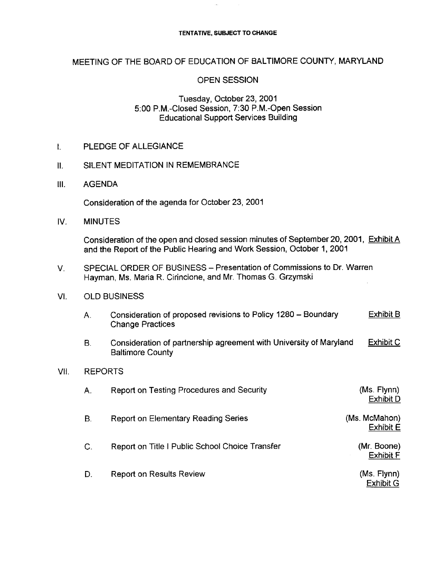#### TENTATIVE, SUBJECT TO CHANGE

# MEETING OF THE BOARD OF EDUCATION OF BALTIMORE COUNTY, MARYLAND

#### OPEN SESSION

# Tuesday, October 23, 2001 5:00 P.M .-Closed Session, <sup>7</sup>' :30 P.M .-Open Session Educational Support Services Building

**I.** PLEDGE OF ALLEGIANCE<br>II. SILENT MEDITATION IN RE

#### SILENT MEDITATION IN REMEMBRANCE

III. AGENDA

Consideration of the agenda for October 23, 2001

IV. MINUTES

Consideration of the open and closed session minutes of September 20, 2001, Exhibit A and the Report of the Public Hearing and Work Session, October 1, 2001

V. SPECIAL ORDER OF BUSINESS - Presentation of Commissions to Dr. Warren Hayman, Ms. Maria R. Cirincione, and Mr. Thomas G. Grzymski

# VI. OLD BUSINESS

| Consideration of proposed revisions to Policy 1280 - Boundary | Exhibit B |
|---------------------------------------------------------------|-----------|
| <b>Change Practices</b>                                       |           |

B. Consideration of partnership agreement with University of Maryland Exhibit C Baltimore County

#### VII. REPORTS

| Α.           | Report on Testing Procedures and Security       | (Ms. Flynn)<br><b>Exhibit D</b>   |
|--------------|-------------------------------------------------|-----------------------------------|
| В.           | Report on Elementary Reading Series             | (Ms. McMahon)<br><b>Exhibit E</b> |
| $\mathsf{C}$ | Report on Title I Public School Choice Transfer | (Mr. Boone)<br><b>Exhibit F</b>   |
| D.           | <b>Report on Results Review</b>                 | (Ms. Flynn)<br><b>Exhibit G</b>   |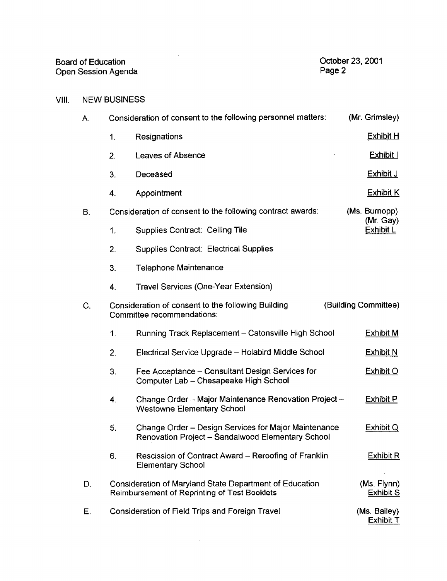| <b>Board of Education</b> | October 23, 2001 |
|---------------------------|------------------|
| Open Session Agenda       | Page 2           |

# VIII. NEW BUSINESS

| А. |                                                                                                                | Consideration of consent to the following personnel matters:                                              | (Mr. Grimsley)                   |  |
|----|----------------------------------------------------------------------------------------------------------------|-----------------------------------------------------------------------------------------------------------|----------------------------------|--|
|    | $\mathbf{1}$ .                                                                                                 | Resignations                                                                                              | <b>Exhibit H</b>                 |  |
|    | 2.                                                                                                             | Leaves of Absence                                                                                         | Exhibit I                        |  |
|    | 3.                                                                                                             | Deceased                                                                                                  | <b>Exhibit J</b>                 |  |
|    | 4.                                                                                                             | Appointment                                                                                               | <b>Exhibit K</b>                 |  |
| В. | Consideration of consent to the following contract awards:                                                     |                                                                                                           | (Ms. Burnopp)<br>(Mr. Gay)       |  |
|    | 1.                                                                                                             | Supplies Contract: Ceiling Tile                                                                           | Exhibit L                        |  |
|    | 2.                                                                                                             | Supplies Contract: Electrical Supplies                                                                    |                                  |  |
|    | 3.                                                                                                             | <b>Telephone Maintenance</b>                                                                              |                                  |  |
|    | 4.                                                                                                             | Travel Services (One-Year Extension)                                                                      |                                  |  |
| С. | Consideration of consent to the following Building<br>Committee recommendations:                               |                                                                                                           | (Building Committee)             |  |
|    | $\mathbf{1}$ .                                                                                                 | Running Track Replacement - Catonsville High School                                                       | <b>Exhibit M</b>                 |  |
|    | 2.                                                                                                             | Electrical Service Upgrade - Holabird Middle School                                                       | <b>Exhibit N</b>                 |  |
|    | 3.                                                                                                             | Fee Acceptance - Consultant Design Services for<br>Computer Lab - Chesapeake High School                  | <b>Exhibit O</b>                 |  |
|    | 4.                                                                                                             | Change Order - Major Maintenance Renovation Project -<br><b>Westowne Elementary School</b>                | <b>Exhibit P</b>                 |  |
|    | 5.                                                                                                             | Change Order - Design Services for Major Maintenance<br>Renovation Project - Sandalwood Elementary School | Exhibit Q                        |  |
|    | 6.                                                                                                             | Rescission of Contract Award - Reroofing of Franklin<br><b>Elementary School</b>                          | Exhibit R                        |  |
| D. | Consideration of Maryland State Department of Education<br><b>Reimbursement of Reprinting of Test Booklets</b> |                                                                                                           | (Ms. Flynn)<br><b>Exhibit S</b>  |  |
| Е. | Consideration of Field Trips and Foreign Travel                                                                |                                                                                                           | (Ms. Bailey)<br><b>Exhibit T</b> |  |

 $\sim 10^7$